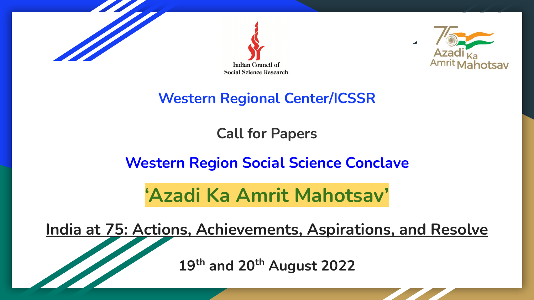





# **Western Regional Center/ICSSR**

### **Call for Papers**

# **Western Region Social Science Conclave**

# **'Azadi Ka Amrit Mahotsav'**

**India at 75: Actions, Achievements, Aspirations, and Resolve**

**19th and 20th August 2022**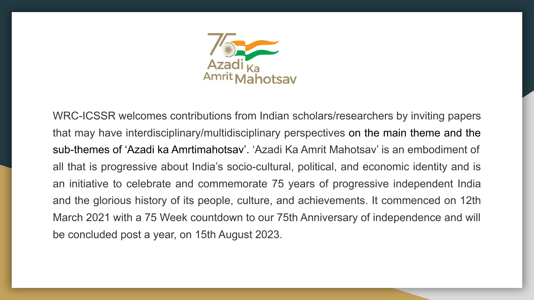

WRC-ICSSR welcomes contributions from Indian scholars/researchers by inviting papers that may have interdisciplinary/multidisciplinary perspectives on the main theme and the sub-themes of 'Azadi ka Amrtimahotsav'. 'Azadi Ka Amrit Mahotsav' is an embodiment of all that is progressive about India's socio-cultural, political, and economic identity and is an initiative to celebrate and commemorate 75 years of progressive independent India and the glorious history of its people, culture, and achievements. It commenced on 12th March 2021 with a 75 Week countdown to our 75th Anniversary of independence and will be concluded post a year, on 15th August 2023.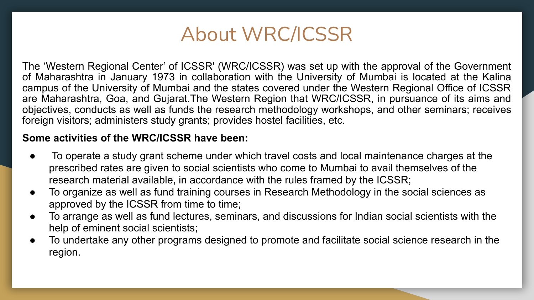

The 'Western Regional Center' of ICSSR' (WRC/ICSSR) was set up with the approval of the Government of Maharashtra in January 1973 in collaboration with the University of Mumbai is located at the Kalina campus of the University of Mumbai and the states covered under the Western Regional Office of ICSSR are Maharashtra, Goa, and Gujarat.The Western Region that WRC/ICSSR, in pursuance of its aims and objectives, conducts as well as funds the research methodology workshops, and other seminars; receives foreign visitors; administers study grants; provides hostel facilities, etc.

#### **Some activities of the WRC/ICSSR have been:**

- To operate a study grant scheme under which travel costs and local maintenance charges at the prescribed rates are given to social scientists who come to Mumbai to avail themselves of the research material available, in accordance with the rules framed by the ICSSR;
- To organize as well as fund training courses in Research Methodology in the social sciences as approved by the ICSSR from time to time;
- To arrange as well as fund lectures, seminars, and discussions for Indian social scientists with the help of eminent social scientists;
- To undertake any other programs designed to promote and facilitate social science research in the region.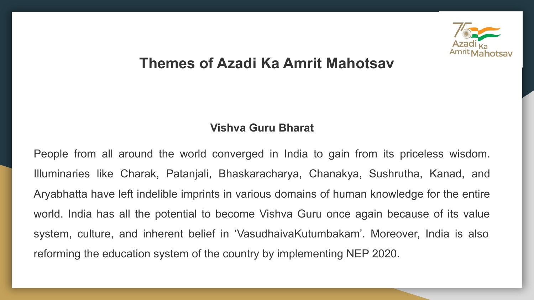

### **Themes of Azadi Ka Amrit Mahotsav**

#### **Vishva Guru Bharat**

People from all around the world converged in India to gain from its priceless wisdom. Illuminaries like Charak, Patanjali, Bhaskaracharya, Chanakya, Sushrutha, Kanad, and Aryabhatta have left indelible imprints in various domains of human knowledge for the entire world. India has all the potential to become Vishva Guru once again because of its value system, culture, and inherent belief in 'VasudhaivaKutumbakam'. Moreover, India is also reforming the education system of the country by implementing NEP 2020.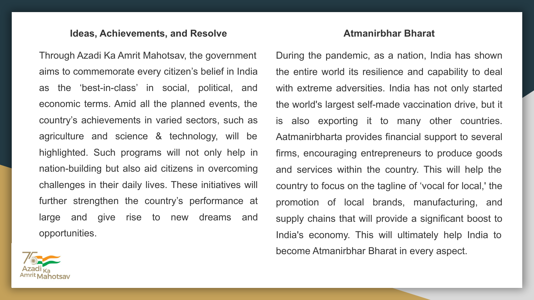#### **Ideas, Achievements, and Resolve**

Through Azadi Ka Amrit Mahotsav, the government aims to commemorate every citizen's belief in India as the 'best-in-class' in social, political, and economic terms. Amid all the planned events, the country's achievements in varied sectors, such as agriculture and science & technology, will be highlighted. Such programs will not only help in nation-building but also aid citizens in overcoming challenges in their daily lives. These initiatives will further strengthen the country's performance at large and give rise to new dreams and opportunities.

#### **Atmanirbhar Bharat**

During the pandemic, as a nation, India has shown the entire world its resilience and capability to deal with extreme adversities. India has not only started the world's largest self-made vaccination drive, but it is also exporting it to many other countries. Aatmanirbharta provides financial support to several firms, encouraging entrepreneurs to produce goods and services within the country. This will help the country to focus on the tagline of 'vocal for local,' the promotion of local brands, manufacturing, and supply chains that will provide a significant boost to India's economy. This will ultimately help India to become Atmanirbhar Bharat in every aspect.

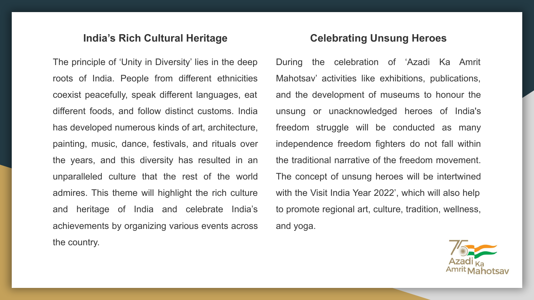#### **India's Rich Cultural Heritage**

The principle of 'Unity in Diversity' lies in the deep roots of India. People from different ethnicities coexist peacefully, speak different languages, eat different foods, and follow distinct customs. India has developed numerous kinds of art, architecture, painting, music, dance, festivals, and rituals over the years, and this diversity has resulted in an unparalleled culture that the rest of the world admires. This theme will highlight the rich culture and heritage of India and celebrate India's achievements by organizing various events across the country.

#### **Celebrating Unsung Heroes**

During the celebration of 'Azadi Ka Amrit Mahotsav' activities like exhibitions, publications, and the development of museums to honour the unsung or unacknowledged heroes of India's freedom struggle will be conducted as many independence freedom fighters do not fall within the traditional narrative of the freedom movement. The concept of unsung heroes will be intertwined with the Visit India Year 2022', which will also help to promote regional art, culture, tradition, wellness, and yoga.

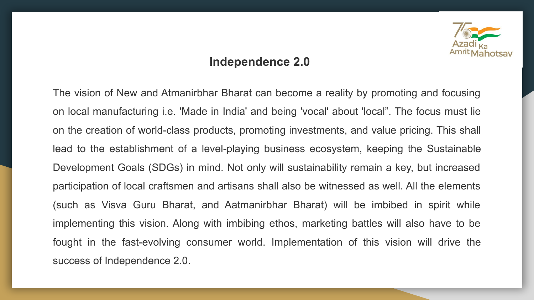

#### **Independence 2.0**

The vision of New and Atmanirbhar Bharat can become a reality by promoting and focusing on local manufacturing i.e. 'Made in India' and being 'vocal' about 'local". The focus must lie on the creation of world-class products, promoting investments, and value pricing. This shall lead to the establishment of a level-playing business ecosystem, keeping the Sustainable Development Goals (SDGs) in mind. Not only will sustainability remain a key, but increased participation of local craftsmen and artisans shall also be witnessed as well. All the elements (such as Visva Guru Bharat, and Aatmanirbhar Bharat) will be imbibed in spirit while implementing this vision. Along with imbibing ethos, marketing battles will also have to be fought in the fast-evolving consumer world. Implementation of this vision will drive the success of Independence 2.0.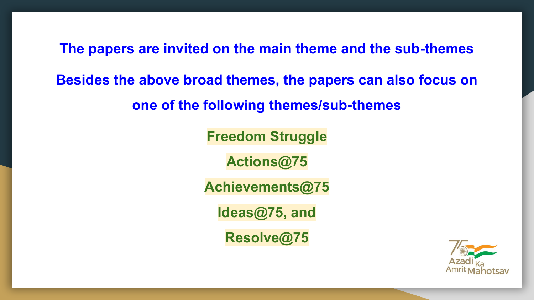**The papers are invited on the main theme and the sub-themes** 

**Besides the above broad themes, the papers can also focus on** 

**one of the following themes/sub-themes**

**Freedom Struggle**

**Actions@75**

**Achievements@75**

**Ideas@75, and**

**Resolve@75**

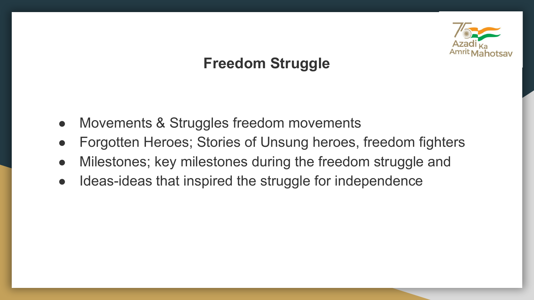

## **Freedom Struggle**

- Movements & Struggles freedom movements
- Forgotten Heroes; Stories of Unsung heroes, freedom fighters
- Milestones; key milestones during the freedom struggle and
- Ideas-ideas that inspired the struggle for independence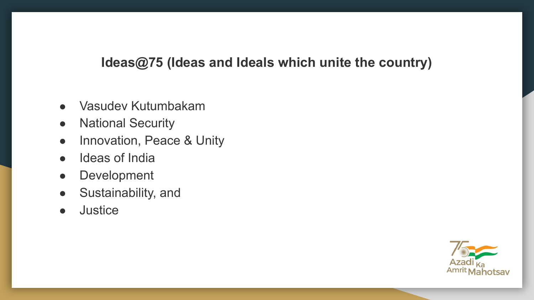### **Ideas@75 (Ideas and Ideals which unite the country)**

- Vasudev Kutumbakam
- National Security
- Innovation, Peace & Unity
- Ideas of India
- Development
- Sustainability, and
- Justice

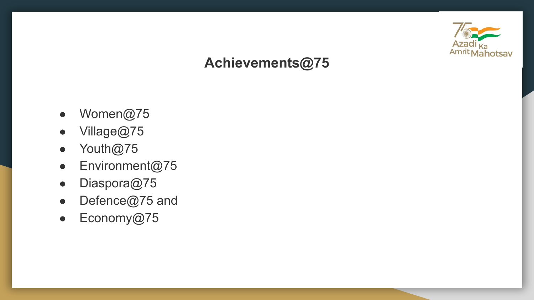

## **Achievements@75**

- Women@75
- Village@75
- Youth@75
- Environment@75
- Diaspora@75
- Defence@75 and
- Economy@75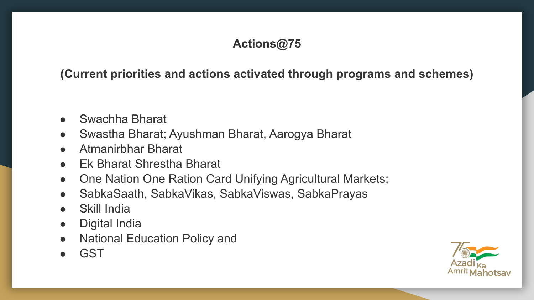#### **Actions@75**

**(Current priorities and actions activated through programs and schemes)**

- Swachha Bharat
- Swastha Bharat; Ayushman Bharat, Aarogya Bharat
- Atmanirbhar Bharat
- Ek Bharat Shrestha Bharat
- One Nation One Ration Card Unifying Agricultural Markets;
- SabkaSaath, SabkaVikas, SabkaViswas, SabkaPrayas
- Skill India
- Digital India
- National Education Policy and
- GST

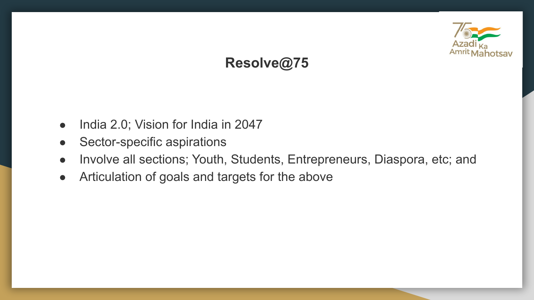

# **Resolve@75**

- India 2.0; Vision for India in 2047
- Sector-specific aspirations
- Involve all sections; Youth, Students, Entrepreneurs, Diaspora, etc; and
- Articulation of goals and targets for the above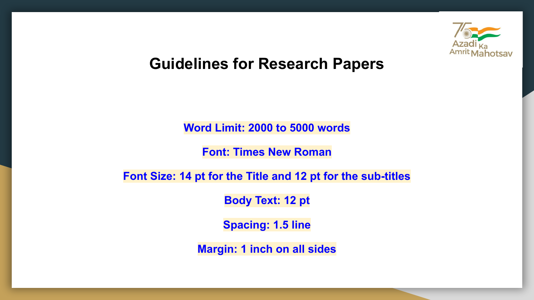

## **Guidelines for Research Papers**

**Word Limit: 2000 to 5000 words**

**Font: Times New Roman**

**Font Size: 14 pt for the Title and 12 pt for the sub-titles**

**Body Text: 12 pt**

**Spacing: 1.5 line**

**Margin: 1 inch on all sides**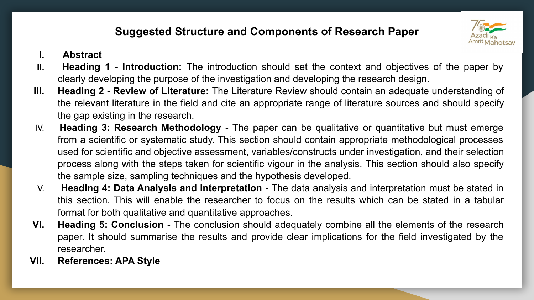#### **Suggested Structure and Components of Research Paper**



- **I. Abstract**
- **II. Heading 1 Introduction:** The introduction should set the context and objectives of the paper by clearly developing the purpose of the investigation and developing the research design.
- **III. Heading 2 Review of Literature:** The Literature Review should contain an adequate understanding of the relevant literature in the field and cite an appropriate range of literature sources and should specify the gap existing in the research.
- IV. **Heading 3: Research Methodology** The paper can be qualitative or quantitative but must emerge from a scientific or systematic study. This section should contain appropriate methodological processes used for scientific and objective assessment, variables/constructs under investigation, and their selection process along with the steps taken for scientific vigour in the analysis. This section should also specify the sample size, sampling techniques and the hypothesis developed.
- V. **Heading 4: Data Analysis and Interpretation** The data analysis and interpretation must be stated in this section. This will enable the researcher to focus on the results which can be stated in a tabular format for both qualitative and quantitative approaches.
- **VI. Heading 5: Conclusion** The conclusion should adequately combine all the elements of the research paper. It should summarise the results and provide clear implications for the field investigated by the researcher.
- **VII. References: APA Style**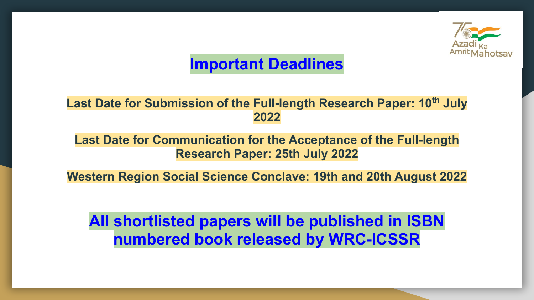

# **Important Deadlines**

#### **Last Date for Submission of the Full-length Research Paper: 10th July 2022**

#### **Last Date for Communication for the Acceptance of the Full-length Research Paper: 25th July 2022**

**Western Region Social Science Conclave: 19th and 20th August 2022**

**All shortlisted papers will be published in ISBN numbered book released by WRC-ICSSR**